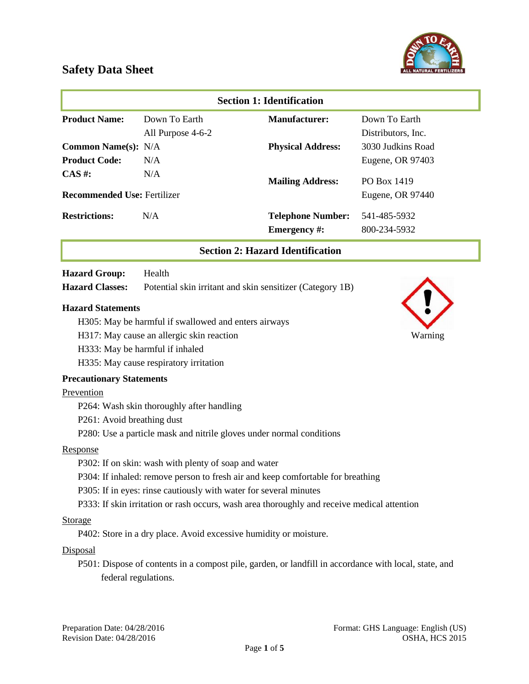

| <b>Section 1: Identification</b>        |                   |                          |                    |
|-----------------------------------------|-------------------|--------------------------|--------------------|
| <b>Product Name:</b>                    | Down To Earth     | <b>Manufacturer:</b>     | Down To Earth      |
|                                         | All Purpose 4-6-2 |                          | Distributors, Inc. |
| <b>Common Name(s): N/A</b>              |                   | <b>Physical Address:</b> | 3030 Judkins Road  |
| <b>Product Code:</b>                    | N/A               |                          | Eugene, OR 97403   |
| $CAS \#$ :                              | N/A               | <b>Mailing Address:</b>  | PO Box 1419        |
| <b>Recommended Use: Fertilizer</b>      |                   |                          | Eugene, OR 97440   |
| <b>Restrictions:</b>                    | N/A               | <b>Telephone Number:</b> | 541-485-5932       |
|                                         |                   | <b>Emergency</b> #:      | 800-234-5932       |
| <b>Section 2: Hazard Identification</b> |                   |                          |                    |

#### **Hazard Group:** Health

**Hazard Classes:** Potential skin irritant and skin sensitizer (Category 1B)

#### **Hazard Statements**

- H305: May be harmful if swallowed and enters airways
- H317: May cause an allergic skin reaction Warning
- H333: May be harmful if inhaled
- H335: May cause respiratory irritation

#### **Precautionary Statements**

#### Prevention

- P264: Wash skin thoroughly after handling
- P261: Avoid breathing dust
- P280: Use a particle mask and nitrile gloves under normal conditions

#### Response

- P302: If on skin: wash with plenty of soap and water
- P304: If inhaled: remove person to fresh air and keep comfortable for breathing
- P305: If in eyes: rinse cautiously with water for several minutes
- P333: If skin irritation or rash occurs, wash area thoroughly and receive medical attention

#### Storage

P402: Store in a dry place. Avoid excessive humidity or moisture.

#### **Disposal**

P501: Dispose of contents in a compost pile, garden, or landfill in accordance with local, state, and federal regulations.

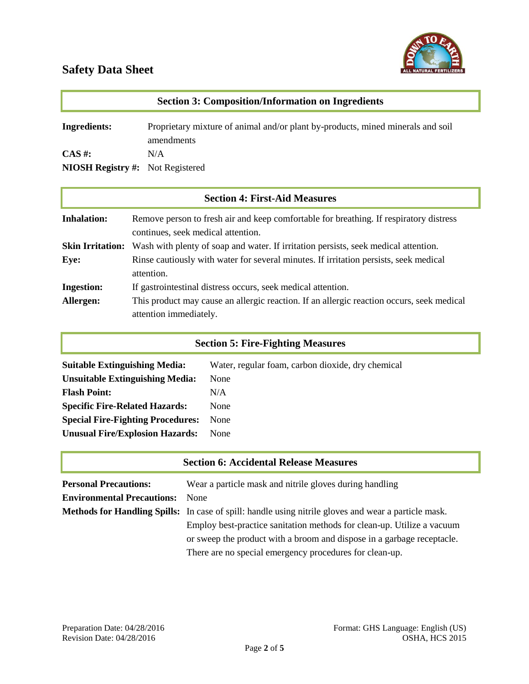

| <b>Section 3: Composition/Information on Ingredients</b>     |                                                                                               |  |
|--------------------------------------------------------------|-----------------------------------------------------------------------------------------------|--|
| <b>Ingredients:</b>                                          | Proprietary mixture of animal and/or plant by-products, mined minerals and soil<br>amendments |  |
| $\mathbf{CAS}$ #:<br><b>NIOSH Registry #:</b> Not Registered | N/A                                                                                           |  |

| <b>Section 4: First-Aid Measures</b> |                                                                                                                              |  |
|--------------------------------------|------------------------------------------------------------------------------------------------------------------------------|--|
| <b>Inhalation:</b>                   | Remove person to fresh air and keep comfortable for breathing. If respiratory distress<br>continues, seek medical attention. |  |
| <b>Skin Irritation:</b>              | Wash with plenty of soap and water. If irritation persists, seek medical attention.                                          |  |
| Eye:                                 | Rinse cautiously with water for several minutes. If irritation persists, seek medical<br>attention.                          |  |
| <b>Ingestion:</b>                    | If gastrointestinal distress occurs, seek medical attention.                                                                 |  |
| Allergen:                            | This product may cause an allergic reaction. If an allergic reaction occurs, seek medical<br>attention immediately.          |  |

## **Section 5: Fire-Fighting Measures**

| <b>Suitable Extinguishing Media:</b>     | Water, regular foam, carbon dioxide, dry chemical |
|------------------------------------------|---------------------------------------------------|
| <b>Unsuitable Extinguishing Media:</b>   | None                                              |
| <b>Flash Point:</b>                      | N/A                                               |
| <b>Specific Fire-Related Hazards:</b>    | None                                              |
| <b>Special Fire-Fighting Procedures:</b> | None                                              |
| <b>Unusual Fire/Explosion Hazards:</b>   | None                                              |
|                                          |                                                   |

| <b>Section 6: Accidental Release Measures</b> |                                                                                                             |  |
|-----------------------------------------------|-------------------------------------------------------------------------------------------------------------|--|
| <b>Personal Precautions:</b>                  | Wear a particle mask and nitrile gloves during handling                                                     |  |
| <b>Environmental Precautions:</b>             | <b>None</b>                                                                                                 |  |
|                                               | <b>Methods for Handling Spills:</b> In case of spill: handle using nitrile gloves and wear a particle mask. |  |
|                                               | Employ best-practice sanitation methods for clean-up. Utilize a vacuum                                      |  |
|                                               | or sweep the product with a broom and dispose in a garbage receptacle.                                      |  |
|                                               | There are no special emergency procedures for clean-up.                                                     |  |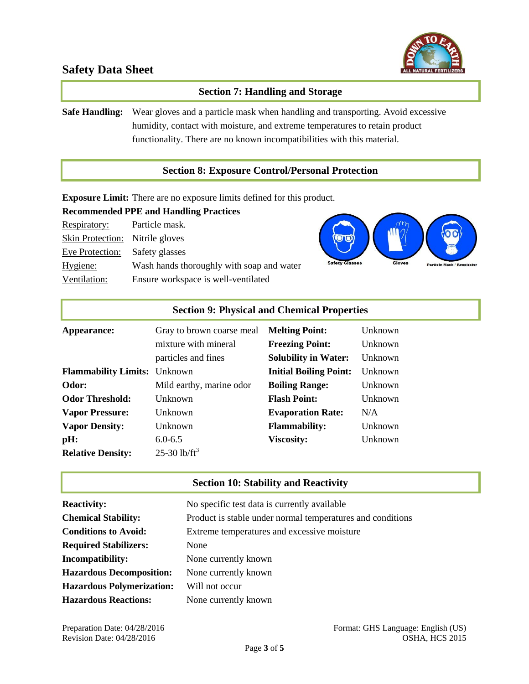

### **Section 7: Handling and Storage**

**Safe Handling:** Wear gloves and a particle mask when handling and transporting. Avoid excessive humidity, contact with moisture, and extreme temperatures to retain product functionality. There are no known incompatibilities with this material.

#### **Section 8: Exposure Control/Personal Protection**

**Exposure Limit:** There are no exposure limits defined for this product.

## **Recommended PPE and Handling Practices**

| Respiratory:                           | Particle mask.                            |
|----------------------------------------|-------------------------------------------|
| <b>Skin Protection:</b> Nitrile gloves |                                           |
| Eye Protection:                        | Safety glasses                            |
| Hygiene:                               | Wash hands thoroughly with soap and water |
| Ventilation:                           | Ensure workspace is well-ventilated       |



| <b>Section 9: Physical and Chemical Properties</b> |                                             |                                                       |                    |
|----------------------------------------------------|---------------------------------------------|-------------------------------------------------------|--------------------|
| Appearance:                                        | Gray to brown coarse meal                   | <b>Melting Point:</b>                                 | Unknown            |
|                                                    | mixture with mineral<br>particles and fines | <b>Freezing Point:</b><br><b>Solubility in Water:</b> | Unknown<br>Unknown |
| <b>Flammability Limits:</b> Unknown                |                                             | <b>Initial Boiling Point:</b>                         | Unknown            |
| Odor:                                              | Mild earthy, marine odor                    | <b>Boiling Range:</b>                                 | Unknown            |
| <b>Odor Threshold:</b>                             | Unknown                                     | <b>Flash Point:</b>                                   | Unknown            |
| <b>Vapor Pressure:</b>                             | <b>Unknown</b>                              | <b>Evaporation Rate:</b>                              | N/A                |
| <b>Vapor Density:</b>                              | Unknown                                     | <b>Flammability:</b>                                  | Unknown            |
| pH:                                                | $6.0 - 6.5$                                 | <b>Viscosity:</b>                                     | Unknown            |
| <b>Relative Density:</b>                           | 25-30 $lb/ft^3$                             |                                                       |                    |

#### **Section 10: Stability and Reactivity**

| <b>Reactivity:</b>               | No specific test data is currently available               |
|----------------------------------|------------------------------------------------------------|
| <b>Chemical Stability:</b>       | Product is stable under normal temperatures and conditions |
| <b>Conditions to Avoid:</b>      | Extreme temperatures and excessive moisture                |
| <b>Required Stabilizers:</b>     | None                                                       |
| Incompatibility:                 | None currently known                                       |
| <b>Hazardous Decomposition:</b>  | None currently known                                       |
| <b>Hazardous Polymerization:</b> | Will not occur                                             |
| <b>Hazardous Reactions:</b>      | None currently known                                       |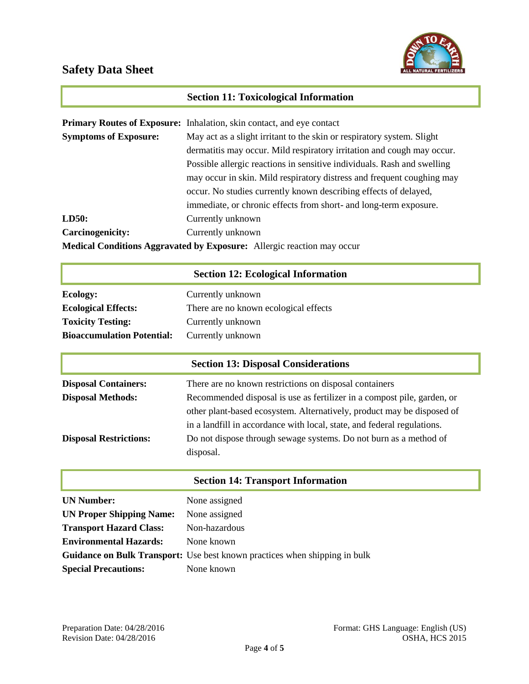

## **Section 11: Toxicological Information**

|                                                                               | <b>Primary Routes of Exposure:</b> Inhalation, skin contact, and eye contact |  |
|-------------------------------------------------------------------------------|------------------------------------------------------------------------------|--|
| <b>Symptoms of Exposure:</b>                                                  | May act as a slight irritant to the skin or respiratory system. Slight       |  |
|                                                                               | dermatitis may occur. Mild respiratory irritation and cough may occur.       |  |
|                                                                               | Possible allergic reactions in sensitive individuals. Rash and swelling      |  |
|                                                                               | may occur in skin. Mild respiratory distress and frequent coughing may       |  |
|                                                                               | occur. No studies currently known describing effects of delayed,             |  |
|                                                                               | immediate, or chronic effects from short- and long-term exposure.            |  |
| LD50:                                                                         | Currently unknown                                                            |  |
| <b>Carcinogenicity:</b>                                                       | Currently unknown                                                            |  |
| <b>Medical Conditions Aggravated by Exposure:</b> Allergic reaction may occur |                                                                              |  |

## **Section 12: Ecological Information**

| Ecology:                          | Currently unknown                     |
|-----------------------------------|---------------------------------------|
| <b>Ecological Effects:</b>        | There are no known ecological effects |
| <b>Toxicity Testing:</b>          | Currently unknown                     |
| <b>Bioaccumulation Potential:</b> | Currently unknown                     |

|                               | <b>Section 13: Disposal Considerations</b>                              |  |
|-------------------------------|-------------------------------------------------------------------------|--|
| <b>Disposal Containers:</b>   | There are no known restrictions on disposal containers                  |  |
| <b>Disposal Methods:</b>      | Recommended disposal is use as fertilizer in a compost pile, garden, or |  |
|                               | other plant-based ecosystem. Alternatively, product may be disposed of  |  |
|                               | in a landfill in accordance with local, state, and federal regulations. |  |
| <b>Disposal Restrictions:</b> | Do not dispose through sewage systems. Do not burn as a method of       |  |
|                               | disposal.                                                               |  |

### **Section 14: Transport Information**

| <b>UN Number:</b>               | None assigned                                                                     |
|---------------------------------|-----------------------------------------------------------------------------------|
| <b>UN Proper Shipping Name:</b> | None assigned                                                                     |
| <b>Transport Hazard Class:</b>  | Non-hazardous                                                                     |
| <b>Environmental Hazards:</b>   | None known                                                                        |
|                                 | <b>Guidance on Bulk Transport:</b> Use best known practices when shipping in bulk |
| <b>Special Precautions:</b>     | None known                                                                        |